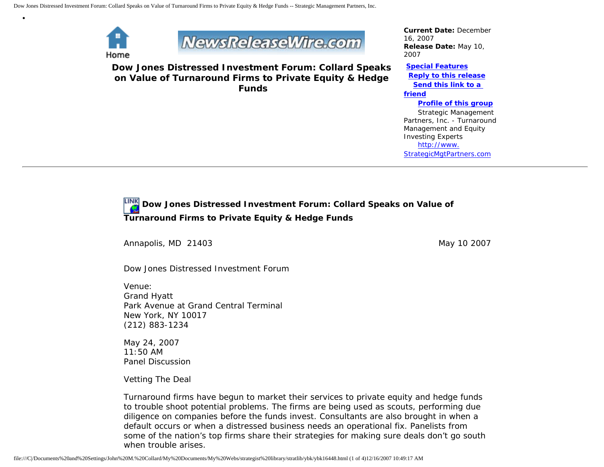

•



**Dow Jones Distressed Investment Forum: Collard Speaks on Value of Turnaround Firms to Private Equity & Hedge Funds**

*Current Date:* December 16, 2007 *Release Date:* May 10, 2007

**[Special Features](javascript:openlittleme() [Reply to this release](file:///C|/Documents%20and%20Settings/John%20M.%20Collard/My%20Documents/My%20Webs/strategist%20library/stratlib/ybk/default.cfm?Action=ReplyRelease&Id=16448) [Send this link to a](file:///C|/Documents%20and%20Settings/John%20M.%20Collard/My%20Documents/My%20Webs/strategist%20library/stratlib/ybk/default.cfm?Action=SendLink&SendId=16448)  [friend](file:///C|/Documents%20and%20Settings/John%20M.%20Collard/My%20Documents/My%20Webs/strategist%20library/stratlib/ybk/default.cfm?Action=SendLink&SendId=16448) [Profile of this group](file:///C|/Documents%20and%20Settings/John%20M.%20Collard/My%20Documents/My%20Webs/strategist%20library/stratlib/ybk/default.cfm?Action=Profile&ProfileId=623)** Strategic Management Partners, Inc. - Turnaround Management and Equity Investing Experts [http://www.](http://www.strategicmgtpartners.com/)

[StrategicMgtPartners.com](http://www.strategicmgtpartners.com/)

**Dow Jones Distressed Investment Forum: Collard Speaks on Value of Turnaround Firms to Private Equity & Hedge Funds** 

Annapolis, MD 21403 May 10 2007

Dow Jones Distressed Investment Forum

Venue: Grand Hyatt Park Avenue at Grand Central Terminal New York, NY 10017 (212) 883-1234

May 24, 2007 11:50 AM Panel Discussion

Vetting The Deal

Turnaround firms have begun to market their services to private equity and hedge funds to trouble shoot potential problems. The firms are being used as scouts, performing due diligence on companies before the funds invest. Consultants are also brought in when a default occurs or when a distressed business needs an operational fix. Panelists from some of the nation's top firms share their strategies for making sure deals don't go south when trouble arises.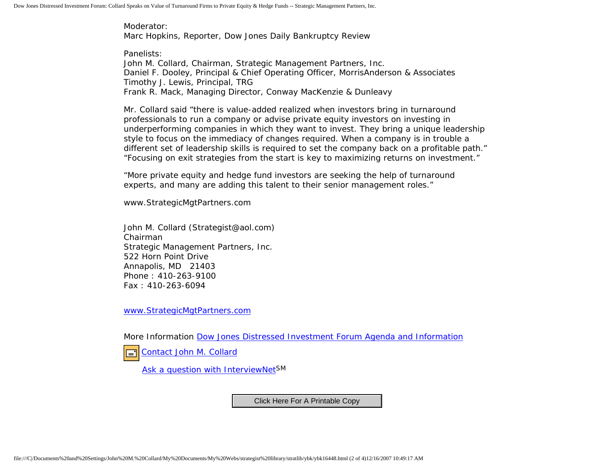Moderator: Marc Hopkins, Reporter, Dow Jones Daily Bankruptcy Review

Panelists: John M. Collard, Chairman, Strategic Management Partners, Inc. Daniel F. Dooley, Principal & Chief Operating Officer, MorrisAnderson & Associates Timothy J. Lewis, Principal, TRG Frank R. Mack, Managing Director, Conway MacKenzie & Dunleavy

Mr. Collard said "there is value-added realized when investors bring in turnaround professionals to run a company or advise private equity investors on investing in underperforming companies in which they want to invest. They bring a unique leadership style to focus on the immediacy of changes required. When a company is in trouble a different set of leadership skills is required to set the company back on a profitable path." "Focusing on exit strategies from the start is key to maximizing returns on investment."

"More private equity and hedge fund investors are seeking the help of turnaround experts, and many are adding this talent to their senior management roles."

www.StrategicMgtPartners.com

John M. Collard (Strategist@aol.com) Chairman Strategic Management Partners, Inc. 522 Horn Point Drive Annapolis, MD 21403 Phone : 410-263-9100 Fax : 410-263-6094

[www.StrategicMgtPartners.com](http://www.strategicmgtpartners.com/)

More Information [Dow Jones Distressed Investment Forum Agenda and Information](http://distressedinvestmentforum.dowjones.com/Default.aspx?pageid=403)

[Contact John M. Collard](http://www.expertclick.com/expertClick/contact/default.cfm?Action=ContactExpert&GroupID=1016) l='

[Ask a question with InterviewNetS](http://www.expertclick.com/expertClick/contact/default.cfm?GroupID=1016)M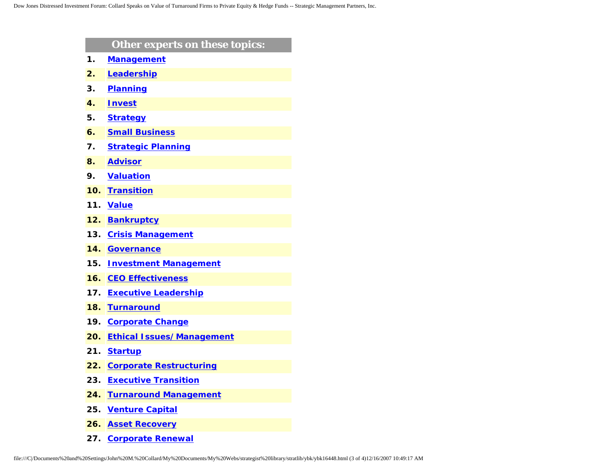|     | Other experts on these topics:   |
|-----|----------------------------------|
| 1.  | <b>Management</b>                |
| 2.  | Leadership                       |
| 3.  | <b>Planning</b>                  |
| 4.  | <b>Invest</b>                    |
| 5.  | <b>Strategy</b>                  |
| 6.  | <b>Small Business</b>            |
| 7.  | <b>Strategic Planning</b>        |
| 8.  | <b>Advisor</b>                   |
| 9.  | <b>Valuation</b>                 |
| 10. | <b>Transition</b>                |
| 11. | <b>Value</b>                     |
| 12. | <b>Bankruptcy</b>                |
| 13. | <b>Crisis Management</b>         |
| 14. | <b>Governance</b>                |
| 15. | <b>Investment Management</b>     |
| 16. | <b>CEO Effectiveness</b>         |
| 17. | <b>Executive Leadership</b>      |
| 18. | <b>Turnaround</b>                |
| 19. | <b>Corporate Change</b>          |
| 20. | <b>Ethical Issues/Management</b> |
| 21. | <b>Startup</b>                   |
| 22. | <b>Corporate Restructuring</b>   |
| 23. | <b>Executive Transition</b>      |
| 24. | <b>Turnaround Management</b>     |
| 25. | <b>Venture Capital</b>           |
| 26. | <b>Asset Recovery</b>            |

**27. [Corporate Renewal](http://www.expertclick.com/search/default.cfm?SearchCriteria=Corporate Renewal)**